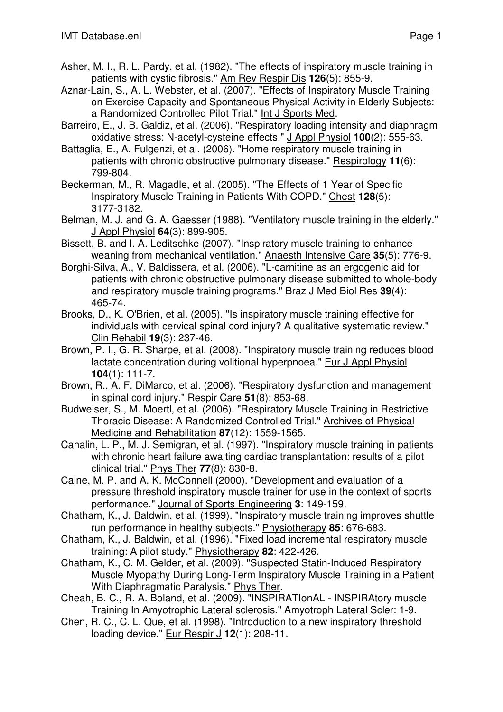- Asher, M. I., R. L. Pardy, et al. (1982). "The effects of inspiratory muscle training in patients with cystic fibrosis." Am Rev Respir Dis **126**(5): 855-9.
- Aznar-Lain, S., A. L. Webster, et al. (2007). "Effects of Inspiratory Muscle Training on Exercise Capacity and Spontaneous Physical Activity in Elderly Subjects: a Randomized Controlled Pilot Trial." Int J Sports Med.
- Barreiro, E., J. B. Galdiz, et al. (2006). "Respiratory loading intensity and diaphragm oxidative stress: N-acetyl-cysteine effects." J Appl Physiol **100**(2): 555-63.
- Battaglia, E., A. Fulgenzi, et al. (2006). "Home respiratory muscle training in patients with chronic obstructive pulmonary disease." Respirology **11**(6): 799-804.
- Beckerman, M., R. Magadle, et al. (2005). "The Effects of 1 Year of Specific Inspiratory Muscle Training in Patients With COPD." Chest **128**(5): 3177-3182.
- Belman, M. J. and G. A. Gaesser (1988). "Ventilatory muscle training in the elderly." J Appl Physiol **64**(3): 899-905.
- Bissett, B. and I. A. Leditschke (2007). "Inspiratory muscle training to enhance weaning from mechanical ventilation." Anaesth Intensive Care **35**(5): 776-9.
- Borghi-Silva, A., V. Baldissera, et al. (2006). "L-carnitine as an ergogenic aid for patients with chronic obstructive pulmonary disease submitted to whole-body and respiratory muscle training programs." Braz J Med Biol Res **39**(4): 465-74.
- Brooks, D., K. O'Brien, et al. (2005). "Is inspiratory muscle training effective for individuals with cervical spinal cord injury? A qualitative systematic review." Clin Rehabil **19**(3): 237-46.
- Brown, P. I., G. R. Sharpe, et al. (2008). "Inspiratory muscle training reduces blood lactate concentration during volitional hyperpnoea." Eur J Appl Physiol **104**(1): 111-7.
- Brown, R., A. F. DiMarco, et al. (2006). "Respiratory dysfunction and management in spinal cord injury." Respir Care **51**(8): 853-68.
- Budweiser, S., M. Moertl, et al. (2006). "Respiratory Muscle Training in Restrictive Thoracic Disease: A Randomized Controlled Trial." Archives of Physical Medicine and Rehabilitation **87**(12): 1559-1565.
- Cahalin, L. P., M. J. Semigran, et al. (1997). "Inspiratory muscle training in patients with chronic heart failure awaiting cardiac transplantation: results of a pilot clinical trial." Phys Ther **77**(8): 830-8.
- Caine, M. P. and A. K. McConnell (2000). "Development and evaluation of a pressure threshold inspiratory muscle trainer for use in the context of sports performance." Journal of Sports Engineering **3**: 149-159.
- Chatham, K., J. Baldwin, et al. (1999). "Inspiratory muscle training improves shuttle run performance in healthy subjects." Physiotherapy **85**: 676-683.
- Chatham, K., J. Baldwin, et al. (1996). "Fixed load incremental respiratory muscle training: A pilot study." Physiotherapy **82**: 422-426.
- Chatham, K., C. M. Gelder, et al. (2009). "Suspected Statin-Induced Respiratory Muscle Myopathy During Long-Term Inspiratory Muscle Training in a Patient With Diaphragmatic Paralysis." Phys Ther.
- Cheah, B. C., R. A. Boland, et al. (2009). "INSPIRATIonAL INSPIRAtory muscle Training In Amyotrophic Lateral sclerosis." Amyotroph Lateral Scler: 1-9.
- Chen, R. C., C. L. Que, et al. (1998). "Introduction to a new inspiratory threshold loading device." Eur Respir J **12**(1): 208-11.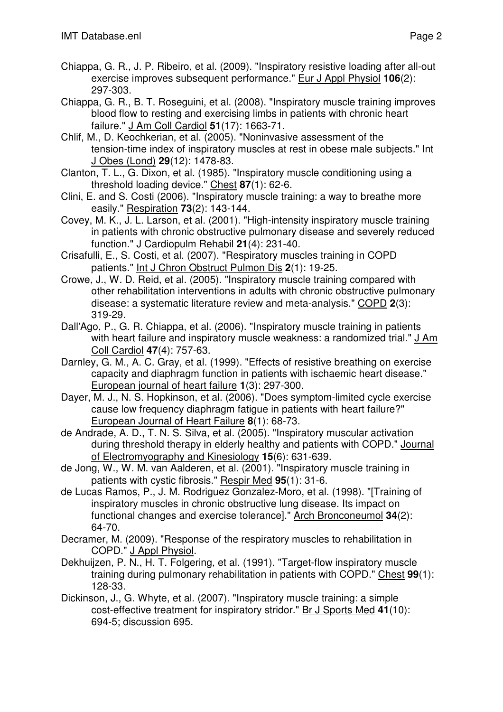- Chiappa, G. R., J. P. Ribeiro, et al. (2009). "Inspiratory resistive loading after all-out exercise improves subsequent performance." Eur J Appl Physiol **106**(2): 297-303.
- Chiappa, G. R., B. T. Roseguini, et al. (2008). "Inspiratory muscle training improves blood flow to resting and exercising limbs in patients with chronic heart failure." J Am Coll Cardiol **51**(17): 1663-71.
- Chlif, M., D. Keochkerian, et al. (2005). "Noninvasive assessment of the tension-time index of inspiratory muscles at rest in obese male subjects." Int J Obes (Lond) **29**(12): 1478-83.
- Clanton, T. L., G. Dixon, et al. (1985). "Inspiratory muscle conditioning using a threshold loading device." Chest **87**(1): 62-6.
- Clini, E. and S. Costi (2006). "Inspiratory muscle training: a way to breathe more easily." Respiration **73**(2): 143-144.
- Covey, M. K., J. L. Larson, et al. (2001). "High-intensity inspiratory muscle training in patients with chronic obstructive pulmonary disease and severely reduced function." J Cardiopulm Rehabil **21**(4): 231-40.
- Crisafulli, E., S. Costi, et al. (2007). "Respiratory muscles training in COPD patients." Int J Chron Obstruct Pulmon Dis **2**(1): 19-25.
- Crowe, J., W. D. Reid, et al. (2005). "Inspiratory muscle training compared with other rehabilitation interventions in adults with chronic obstructive pulmonary disease: a systematic literature review and meta-analysis." COPD **2**(3): 319-29.
- Dall'Ago, P., G. R. Chiappa, et al. (2006). "Inspiratory muscle training in patients with heart failure and inspiratory muscle weakness: a randomized trial." J Am Coll Cardiol **47**(4): 757-63.
- Darnley, G. M., A. C. Gray, et al. (1999). "Effects of resistive breathing on exercise capacity and diaphragm function in patients with ischaemic heart disease." European journal of heart failure **1**(3): 297-300.
- Dayer, M. J., N. S. Hopkinson, et al. (2006). "Does symptom-limited cycle exercise cause low frequency diaphragm fatigue in patients with heart failure?" European Journal of Heart Failure **8**(1): 68-73.
- de Andrade, A. D., T. N. S. Silva, et al. (2005). "Inspiratory muscular activation during threshold therapy in elderly healthy and patients with COPD." Journal of Electromyography and Kinesiology **15**(6): 631-639.
- de Jong, W., W. M. van Aalderen, et al. (2001). "Inspiratory muscle training in patients with cystic fibrosis." Respir Med **95**(1): 31-6.
- de Lucas Ramos, P., J. M. Rodriguez Gonzalez-Moro, et al. (1998). "[Training of inspiratory muscles in chronic obstructive lung disease. Its impact on functional changes and exercise tolerance]." Arch Bronconeumol **34**(2): 64-70.
- Decramer, M. (2009). "Response of the respiratory muscles to rehabilitation in COPD." J Appl Physiol.
- Dekhuijzen, P. N., H. T. Folgering, et al. (1991). "Target-flow inspiratory muscle training during pulmonary rehabilitation in patients with COPD." Chest **99**(1): 128-33.
- Dickinson, J., G. Whyte, et al. (2007). "Inspiratory muscle training: a simple cost-effective treatment for inspiratory stridor." Br J Sports Med **41**(10): 694-5; discussion 695.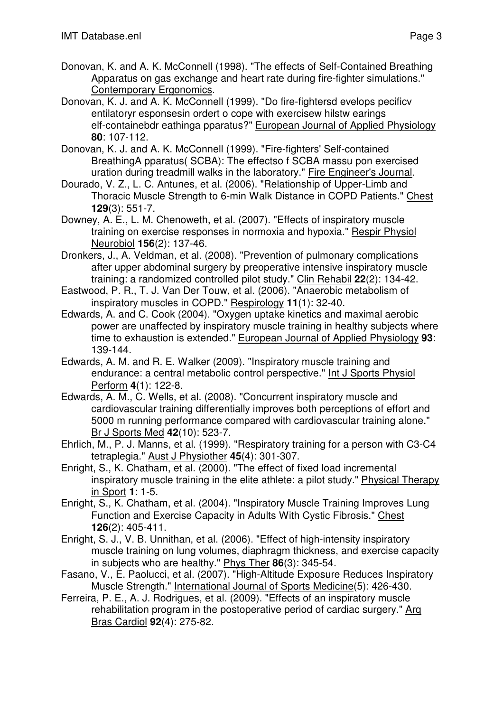- Donovan, K. and A. K. McConnell (1998). "The effects of Self-Contained Breathing Apparatus on gas exchange and heart rate during fire-fighter simulations." Contemporary Ergonomics.
- Donovan, K. J. and A. K. McConnell (1999). "Do fire-fightersd evelops pecificv entilatoryr esponsesin ordert o cope with exercisew hilstw earings elf-containebdr eathinga pparatus?" European Journal of Applied Physiology **80**: 107-112.
- Donovan, K. J. and A. K. McConnell (1999). "Fire-fighters' Self-contained BreathingA pparatus( SCBA): The effectso f SCBA massu pon exercised uration during treadmill walks in the laboratory." Fire Engineer's Journal.
- Dourado, V. Z., L. C. Antunes, et al. (2006). "Relationship of Upper-Limb and Thoracic Muscle Strength to 6-min Walk Distance in COPD Patients." Chest **129**(3): 551-7.
- Downey, A. E., L. M. Chenoweth, et al. (2007). "Effects of inspiratory muscle training on exercise responses in normoxia and hypoxia." Respir Physiol Neurobiol **156**(2): 137-46.
- Dronkers, J., A. Veldman, et al. (2008). "Prevention of pulmonary complications after upper abdominal surgery by preoperative intensive inspiratory muscle training: a randomized controlled pilot study." Clin Rehabil **22**(2): 134-42.
- Eastwood, P. R., T. J. Van Der Touw, et al. (2006). "Anaerobic metabolism of inspiratory muscles in COPD." Respirology **11**(1): 32-40.
- Edwards, A. and C. Cook (2004). "Oxygen uptake kinetics and maximal aerobic power are unaffected by inspiratory muscle training in healthy subjects where time to exhaustion is extended." European Journal of Applied Physiology **93**: 139-144.
- Edwards, A. M. and R. E. Walker (2009). "Inspiratory muscle training and endurance: a central metabolic control perspective." Int J Sports Physiol Perform **4**(1): 122-8.
- Edwards, A. M., C. Wells, et al. (2008). "Concurrent inspiratory muscle and cardiovascular training differentially improves both perceptions of effort and 5000 m running performance compared with cardiovascular training alone." Br J Sports Med **42**(10): 523-7.
- Ehrlich, M., P. J. Manns, et al. (1999). "Respiratory training for a person with C3-C4 tetraplegia." Aust J Physiother **45**(4): 301-307.
- Enright, S., K. Chatham, et al. (2000). "The effect of fixed load incremental inspiratory muscle training in the elite athlete: a pilot study." Physical Therapy in Sport **1**: 1-5.
- Enright, S., K. Chatham, et al. (2004). "Inspiratory Muscle Training Improves Lung Function and Exercise Capacity in Adults With Cystic Fibrosis." Chest **126**(2): 405-411.
- Enright, S. J., V. B. Unnithan, et al. (2006). "Effect of high-intensity inspiratory muscle training on lung volumes, diaphragm thickness, and exercise capacity in subjects who are healthy." Phys Ther **86**(3): 345-54.
- Fasano, V., E. Paolucci, et al. (2007). "High-Altitude Exposure Reduces Inspiratory Muscle Strength." International Journal of Sports Medicine(5): 426-430.
- Ferreira, P. E., A. J. Rodrigues, et al. (2009). "Effects of an inspiratory muscle rehabilitation program in the postoperative period of cardiac surgery." Arq Bras Cardiol **92**(4): 275-82.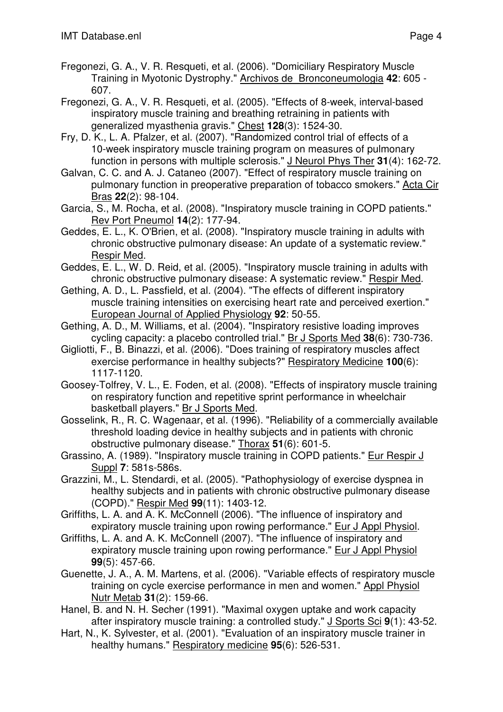- Fregonezi, G. A., V. R. Resqueti, et al. (2006). "Domiciliary Respiratory Muscle Training in Myotonic Dystrophy." Archivos de Bronconeumologia **42**: 605 - 607.
- Fregonezi, G. A., V. R. Resqueti, et al. (2005). "Effects of 8-week, interval-based inspiratory muscle training and breathing retraining in patients with generalized myasthenia gravis." Chest **128**(3): 1524-30.
- Fry, D. K., L. A. Pfalzer, et al. (2007). "Randomized control trial of effects of a 10-week inspiratory muscle training program on measures of pulmonary function in persons with multiple sclerosis." J Neurol Phys Ther **31**(4): 162-72.
- Galvan, C. C. and A. J. Cataneo (2007). "Effect of respiratory muscle training on pulmonary function in preoperative preparation of tobacco smokers." Acta Cir Bras **22**(2): 98-104.
- Garcia, S., M. Rocha, et al. (2008). "Inspiratory muscle training in COPD patients." Rev Port Pneumol **14**(2): 177-94.
- Geddes, E. L., K. O'Brien, et al. (2008). "Inspiratory muscle training in adults with chronic obstructive pulmonary disease: An update of a systematic review." Respir Med.
- Geddes, E. L., W. D. Reid, et al. (2005). "Inspiratory muscle training in adults with chronic obstructive pulmonary disease: A systematic review." Respir Med.
- Gething, A. D., L. Passfield, et al. (2004). "The effects of different inspiratory muscle training intensities on exercising heart rate and perceived exertion." European Journal of Applied Physiology **92**: 50-55.
- Gething, A. D., M. Williams, et al. (2004). "Inspiratory resistive loading improves cycling capacity: a placebo controlled trial." Br J Sports Med **38**(6): 730-736.
- Gigliotti, F., B. Binazzi, et al. (2006). "Does training of respiratory muscles affect exercise performance in healthy subjects?" Respiratory Medicine **100**(6): 1117-1120.
- Goosey-Tolfrey, V. L., E. Foden, et al. (2008). "Effects of inspiratory muscle training on respiratory function and repetitive sprint performance in wheelchair basketball players." Br J Sports Med.
- Gosselink, R., R. C. Wagenaar, et al. (1996). "Reliability of a commercially available threshold loading device in healthy subjects and in patients with chronic obstructive pulmonary disease." Thorax **51**(6): 601-5.
- Grassino, A. (1989). "Inspiratory muscle training in COPD patients." Eur Respir J Suppl **7**: 581s-586s.
- Grazzini, M., L. Stendardi, et al. (2005). "Pathophysiology of exercise dyspnea in healthy subjects and in patients with chronic obstructive pulmonary disease (COPD)." Respir Med **99**(11): 1403-12.
- Griffiths, L. A. and A. K. McConnell (2006). "The influence of inspiratory and expiratory muscle training upon rowing performance." Eur J Appl Physiol.
- Griffiths, L. A. and A. K. McConnell (2007). "The influence of inspiratory and expiratory muscle training upon rowing performance." Eur J Appl Physiol **99**(5): 457-66.
- Guenette, J. A., A. M. Martens, et al. (2006). "Variable effects of respiratory muscle training on cycle exercise performance in men and women." Appl Physiol Nutr Metab **31**(2): 159-66.
- Hanel, B. and N. H. Secher (1991). "Maximal oxygen uptake and work capacity after inspiratory muscle training: a controlled study." J Sports Sci **9**(1): 43-52.
- Hart, N., K. Sylvester, et al. (2001). "Evaluation of an inspiratory muscle trainer in healthy humans." Respiratory medicine **95**(6): 526-531.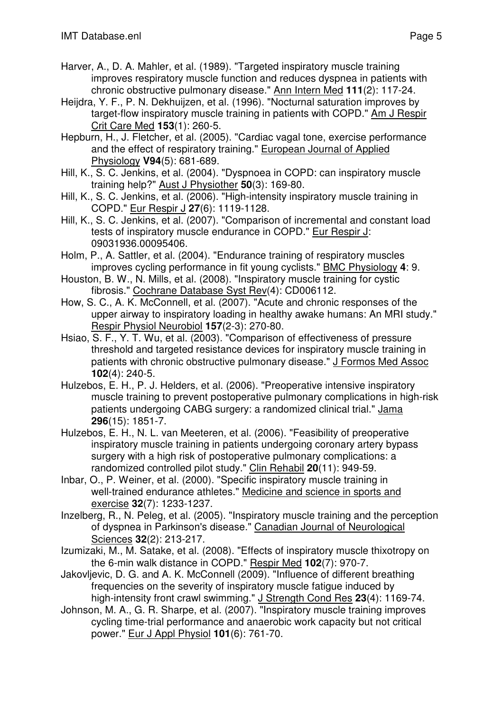- Harver, A., D. A. Mahler, et al. (1989). "Targeted inspiratory muscle training improves respiratory muscle function and reduces dyspnea in patients with chronic obstructive pulmonary disease." Ann Intern Med **111**(2): 117-24.
- Heijdra, Y. F., P. N. Dekhuijzen, et al. (1996). "Nocturnal saturation improves by target-flow inspiratory muscle training in patients with COPD." Am J Respir Crit Care Med **153**(1): 260-5.
- Hepburn, H., J. Fletcher, et al. (2005). "Cardiac vagal tone, exercise performance and the effect of respiratory training." European Journal of Applied Physiology **V94**(5): 681-689.
- Hill, K., S. C. Jenkins, et al. (2004). "Dyspnoea in COPD: can inspiratory muscle training help?" Aust J Physiother **50**(3): 169-80.
- Hill, K., S. C. Jenkins, et al. (2006). "High-intensity inspiratory muscle training in COPD." Eur Respir J **27**(6): 1119-1128.
- Hill, K., S. C. Jenkins, et al. (2007). "Comparison of incremental and constant load tests of inspiratory muscle endurance in COPD." Eur Respir J: 09031936.00095406.
- Holm, P., A. Sattler, et al. (2004). "Endurance training of respiratory muscles improves cycling performance in fit young cyclists." BMC Physiology **4**: 9.
- Houston, B. W., N. Mills, et al. (2008). "Inspiratory muscle training for cystic fibrosis." Cochrane Database Syst Rev(4): CD006112.
- How, S. C., A. K. McConnell, et al. (2007). "Acute and chronic responses of the upper airway to inspiratory loading in healthy awake humans: An MRI study." Respir Physiol Neurobiol **157**(2-3): 270-80.
- Hsiao, S. F., Y. T. Wu, et al. (2003). "Comparison of effectiveness of pressure threshold and targeted resistance devices for inspiratory muscle training in patients with chronic obstructive pulmonary disease." J Formos Med Assoc **102**(4): 240-5.
- Hulzebos, E. H., P. J. Helders, et al. (2006). "Preoperative intensive inspiratory muscle training to prevent postoperative pulmonary complications in high-risk patients undergoing CABG surgery: a randomized clinical trial." Jama **296**(15): 1851-7.
- Hulzebos, E. H., N. L. van Meeteren, et al. (2006). "Feasibility of preoperative inspiratory muscle training in patients undergoing coronary artery bypass surgery with a high risk of postoperative pulmonary complications: a randomized controlled pilot study." Clin Rehabil **20**(11): 949-59.
- Inbar, O., P. Weiner, et al. (2000). "Specific inspiratory muscle training in well-trained endurance athletes." Medicine and science in sports and exercise **32**(7): 1233-1237.
- Inzelberg, R., N. Peleg, et al. (2005). "Inspiratory muscle training and the perception of dyspnea in Parkinson's disease." Canadian Journal of Neurological Sciences **32**(2): 213-217.
- Izumizaki, M., M. Satake, et al. (2008). "Effects of inspiratory muscle thixotropy on the 6-min walk distance in COPD." Respir Med **102**(7): 970-7.
- Jakovljevic, D. G. and A. K. McConnell (2009). "Influence of different breathing frequencies on the severity of inspiratory muscle fatigue induced by high-intensity front crawl swimming." J Strength Cond Res **23**(4): 1169-74.
- Johnson, M. A., G. R. Sharpe, et al. (2007). "Inspiratory muscle training improves cycling time-trial performance and anaerobic work capacity but not critical power." Eur J Appl Physiol **101**(6): 761-70.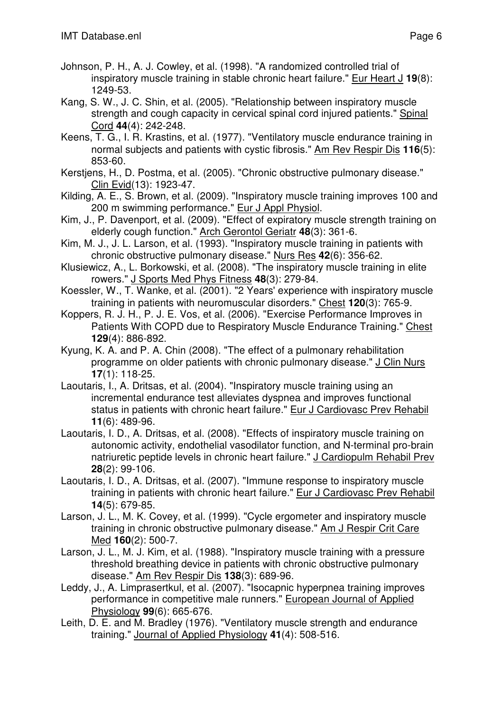- Johnson, P. H., A. J. Cowley, et al. (1998). "A randomized controlled trial of inspiratory muscle training in stable chronic heart failure." Eur Heart J **19**(8): 1249-53.
- Kang, S. W., J. C. Shin, et al. (2005). "Relationship between inspiratory muscle strength and cough capacity in cervical spinal cord injured patients." Spinal Cord **44**(4): 242-248.
- Keens, T. G., I. R. Krastins, et al. (1977). "Ventilatory muscle endurance training in normal subjects and patients with cystic fibrosis." Am Rev Respir Dis **116**(5): 853-60.
- Kerstjens, H., D. Postma, et al. (2005). "Chronic obstructive pulmonary disease." Clin Evid(13): 1923-47.
- Kilding, A. E., S. Brown, et al. (2009). "Inspiratory muscle training improves 100 and 200 m swimming performance." Eur J Appl Physiol.
- Kim, J., P. Davenport, et al. (2009). "Effect of expiratory muscle strength training on elderly cough function." Arch Gerontol Geriatr **48**(3): 361-6.
- Kim, M. J., J. L. Larson, et al. (1993). "Inspiratory muscle training in patients with chronic obstructive pulmonary disease." Nurs Res **42**(6): 356-62.
- Klusiewicz, A., L. Borkowski, et al. (2008). "The inspiratory muscle training in elite rowers." J Sports Med Phys Fitness **48**(3): 279-84.
- Koessler, W., T. Wanke, et al. (2001). "2 Years' experience with inspiratory muscle training in patients with neuromuscular disorders." Chest **120**(3): 765-9.
- Koppers, R. J. H., P. J. E. Vos, et al. (2006). "Exercise Performance Improves in Patients With COPD due to Respiratory Muscle Endurance Training." Chest **129**(4): 886-892.
- Kyung, K. A. and P. A. Chin (2008). "The effect of a pulmonary rehabilitation programme on older patients with chronic pulmonary disease." J Clin Nurs **17**(1): 118-25.
- Laoutaris, I., A. Dritsas, et al. (2004). "Inspiratory muscle training using an incremental endurance test alleviates dyspnea and improves functional status in patients with chronic heart failure." Eur J Cardiovasc Prev Rehabil **11**(6): 489-96.
- Laoutaris, I. D., A. Dritsas, et al. (2008). "Effects of inspiratory muscle training on autonomic activity, endothelial vasodilator function, and N-terminal pro-brain natriuretic peptide levels in chronic heart failure." J Cardiopulm Rehabil Prev **28**(2): 99-106.
- Laoutaris, I. D., A. Dritsas, et al. (2007). "Immune response to inspiratory muscle training in patients with chronic heart failure." Eur J Cardiovasc Prev Rehabil **14**(5): 679-85.
- Larson, J. L., M. K. Covey, et al. (1999). "Cycle ergometer and inspiratory muscle training in chronic obstructive pulmonary disease." Am J Respir Crit Care Med **160**(2): 500-7.
- Larson, J. L., M. J. Kim, et al. (1988). "Inspiratory muscle training with a pressure threshold breathing device in patients with chronic obstructive pulmonary disease." Am Rev Respir Dis **138**(3): 689-96.
- Leddy, J., A. Limprasertkul, et al. (2007). "Isocapnic hyperpnea training improves performance in competitive male runners." European Journal of Applied Physiology **99**(6): 665-676.
- Leith, D. E. and M. Bradley (1976). "Ventilatory muscle strength and endurance training." Journal of Applied Physiology **41**(4): 508-516.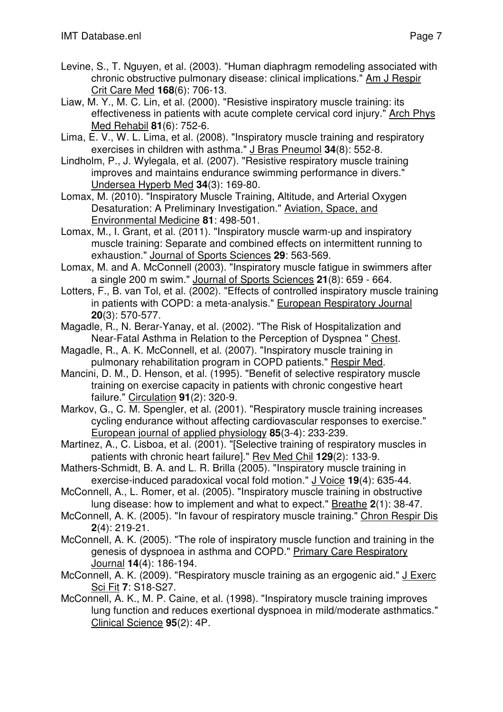- Levine, S., T. Nguyen, et al. (2003). "Human diaphragm remodeling associated with chronic obstructive pulmonary disease: clinical implications." Am J Respir Crit Care Med **168**(6): 706-13.
- Liaw, M. Y., M. C. Lin, et al. (2000). "Resistive inspiratory muscle training: its effectiveness in patients with acute complete cervical cord injury." Arch Phys Med Rehabil **81**(6): 752-6.
- Lima, E. V., W. L. Lima, et al. (2008). "Inspiratory muscle training and respiratory exercises in children with asthma." J Bras Pneumol **34**(8): 552-8.
- Lindholm, P., J. Wylegala, et al. (2007). "Resistive respiratory muscle training improves and maintains endurance swimming performance in divers." Undersea Hyperb Med **34**(3): 169-80.

Lomax, M. (2010). "Inspiratory Muscle Training, Altitude, and Arterial Oxygen Desaturation: A Preliminary Investigation." Aviation, Space, and Environmental Medicine **81**: 498-501.

Lomax, M., I. Grant, et al. (2011). "Inspiratory muscle warm-up and inspiratory muscle training: Separate and combined effects on intermittent running to exhaustion." Journal of Sports Sciences **29**: 563-569.

- Lomax, M. and A. McConnell (2003). "Inspiratory muscle fatigue in swimmers after a single 200 m swim." Journal of Sports Sciences **21**(8): 659 - 664.
- Lotters, F., B. van Tol, et al. (2002). "Effects of controlled inspiratory muscle training in patients with COPD: a meta-analysis." European Respiratory Journal **20**(3): 570-577.
- Magadle, R., N. Berar-Yanay, et al. (2002). "The Risk of Hospitalization and Near-Fatal Asthma in Relation to the Perception of Dyspnea " Chest.
- Magadle, R., A. K. McConnell, et al. (2007). "Inspiratory muscle training in pulmonary rehabilitation program in COPD patients." Respir Med.
- Mancini, D. M., D. Henson, et al. (1995). "Benefit of selective respiratory muscle training on exercise capacity in patients with chronic congestive heart failure." Circulation **91**(2): 320-9.
- Markov, G., C. M. Spengler, et al. (2001). "Respiratory muscle training increases cycling endurance without affecting cardiovascular responses to exercise." European journal of applied physiology **85**(3-4): 233-239.
- Martinez, A., C. Lisboa, et al. (2001). "[Selective training of respiratory muscles in patients with chronic heart failure]." Rev Med Chil **129**(2): 133-9.
- Mathers-Schmidt, B. A. and L. R. Brilla (2005). "Inspiratory muscle training in exercise-induced paradoxical vocal fold motion." J Voice **19**(4): 635-44.
- McConnell, A., L. Romer, et al. (2005). "Inspiratory muscle training in obstructive lung disease: how to implement and what to expect." Breathe **2**(1): 38-47.
- McConnell, A. K. (2005). "In favour of respiratory muscle training." Chron Respir Dis **2**(4): 219-21.
- McConnell, A. K. (2005). "The role of inspiratory muscle function and training in the genesis of dyspnoea in asthma and COPD." Primary Care Respiratory Journal **14**(4): 186-194.
- McConnell, A. K. (2009). "Respiratory muscle training as an ergogenic aid." J Exerc Sci Fit **7**: S18-S27.
- McConnell, A. K., M. P. Caine, et al. (1998). "Inspiratory muscle training improves lung function and reduces exertional dyspnoea in mild/moderate asthmatics." Clinical Science **95**(2): 4P.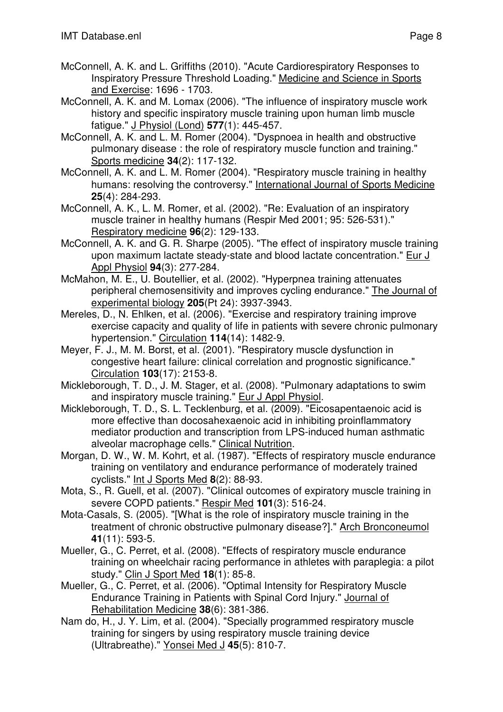- McConnell, A. K. and L. Griffiths (2010). "Acute Cardiorespiratory Responses to Inspiratory Pressure Threshold Loading." Medicine and Science in Sports and Exercise: 1696 - 1703.
- McConnell, A. K. and M. Lomax (2006). "The influence of inspiratory muscle work history and specific inspiratory muscle training upon human limb muscle fatigue." J Physiol (Lond) **577**(1): 445-457.
- McConnell, A. K. and L. M. Romer (2004). "Dyspnoea in health and obstructive pulmonary disease : the role of respiratory muscle function and training." Sports medicine **34**(2): 117-132.
- McConnell, A. K. and L. M. Romer (2004). "Respiratory muscle training in healthy humans: resolving the controversy." International Journal of Sports Medicine **25**(4): 284-293.
- McConnell, A. K., L. M. Romer, et al. (2002). "Re: Evaluation of an inspiratory muscle trainer in healthy humans (Respir Med 2001; 95: 526-531)." Respiratory medicine **96**(2): 129-133.
- McConnell, A. K. and G. R. Sharpe (2005). "The effect of inspiratory muscle training upon maximum lactate steady-state and blood lactate concentration." Eur J Appl Physiol **94**(3): 277-284.
- McMahon, M. E., U. Boutellier, et al. (2002). "Hyperpnea training attenuates peripheral chemosensitivity and improves cycling endurance." The Journal of experimental biology **205**(Pt 24): 3937-3943.
- Mereles, D., N. Ehlken, et al. (2006). "Exercise and respiratory training improve exercise capacity and quality of life in patients with severe chronic pulmonary hypertension." Circulation **114**(14): 1482-9.
- Meyer, F. J., M. M. Borst, et al. (2001). "Respiratory muscle dysfunction in congestive heart failure: clinical correlation and prognostic significance." Circulation **103**(17): 2153-8.
- Mickleborough, T. D., J. M. Stager, et al. (2008). "Pulmonary adaptations to swim and inspiratory muscle training." Eur J Appl Physiol.
- Mickleborough, T. D., S. L. Tecklenburg, et al. (2009). "Eicosapentaenoic acid is more effective than docosahexaenoic acid in inhibiting proinflammatory mediator production and transcription from LPS-induced human asthmatic alveolar macrophage cells." Clinical Nutrition.
- Morgan, D. W., W. M. Kohrt, et al. (1987). "Effects of respiratory muscle endurance training on ventilatory and endurance performance of moderately trained cyclists." Int J Sports Med **8**(2): 88-93.
- Mota, S., R. Guell, et al. (2007). "Clinical outcomes of expiratory muscle training in severe COPD patients." Respir Med **101**(3): 516-24.
- Mota-Casals, S. (2005). "[What is the role of inspiratory muscle training in the treatment of chronic obstructive pulmonary disease?]." Arch Bronconeumol **41**(11): 593-5.
- Mueller, G., C. Perret, et al. (2008). "Effects of respiratory muscle endurance training on wheelchair racing performance in athletes with paraplegia: a pilot study." Clin J Sport Med **18**(1): 85-8.
- Mueller, G., C. Perret, et al. (2006). "Optimal Intensity for Respiratory Muscle Endurance Training in Patients with Spinal Cord Injury." Journal of Rehabilitation Medicine **38**(6): 381-386.
- Nam do, H., J. Y. Lim, et al. (2004). "Specially programmed respiratory muscle training for singers by using respiratory muscle training device (Ultrabreathe)." Yonsei Med J **45**(5): 810-7.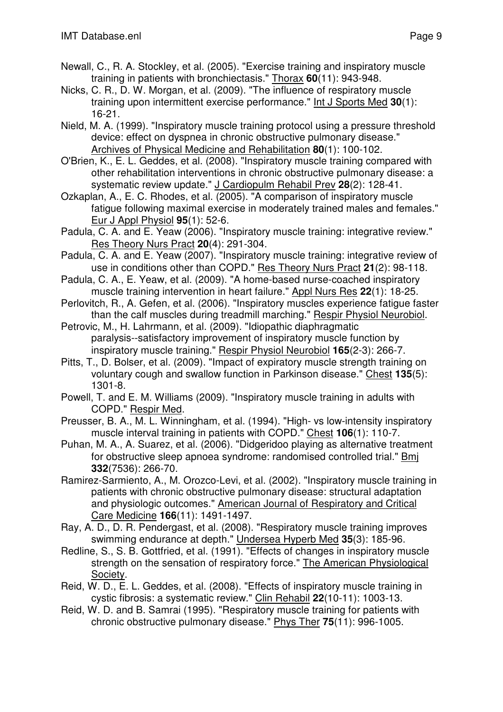- Newall, C., R. A. Stockley, et al. (2005). "Exercise training and inspiratory muscle training in patients with bronchiectasis." Thorax **60**(11): 943-948.
- Nicks, C. R., D. W. Morgan, et al. (2009). "The influence of respiratory muscle training upon intermittent exercise performance." Int J Sports Med **30**(1): 16-21.
- Nield, M. A. (1999). "Inspiratory muscle training protocol using a pressure threshold device: effect on dyspnea in chronic obstructive pulmonary disease." Archives of Physical Medicine and Rehabilitation **80**(1): 100-102.
- O'Brien, K., E. L. Geddes, et al. (2008). "Inspiratory muscle training compared with other rehabilitation interventions in chronic obstructive pulmonary disease: a systematic review update." J Cardiopulm Rehabil Prev **28**(2): 128-41.
- Ozkaplan, A., E. C. Rhodes, et al. (2005). "A comparison of inspiratory muscle fatigue following maximal exercise in moderately trained males and females." Eur J Appl Physiol **95**(1): 52-6.
- Padula, C. A. and E. Yeaw (2006). "Inspiratory muscle training: integrative review." Res Theory Nurs Pract **20**(4): 291-304.
- Padula, C. A. and E. Yeaw (2007). "Inspiratory muscle training: integrative review of use in conditions other than COPD." Res Theory Nurs Pract **21**(2): 98-118.
- Padula, C. A., E. Yeaw, et al. (2009). "A home-based nurse-coached inspiratory muscle training intervention in heart failure." Appl Nurs Res **22**(1): 18-25.
- Perlovitch, R., A. Gefen, et al. (2006). "Inspiratory muscles experience fatigue faster than the calf muscles during treadmill marching." Respir Physiol Neurobiol.
- Petrovic, M., H. Lahrmann, et al. (2009). "Idiopathic diaphragmatic paralysis--satisfactory improvement of inspiratory muscle function by inspiratory muscle training." Respir Physiol Neurobiol **165**(2-3): 266-7.
- Pitts, T., D. Bolser, et al. (2009). "Impact of expiratory muscle strength training on voluntary cough and swallow function in Parkinson disease." Chest **135**(5): 1301-8.
- Powell, T. and E. M. Williams (2009). "Inspiratory muscle training in adults with COPD." Respir Med.
- Preusser, B. A., M. L. Winningham, et al. (1994). "High- vs low-intensity inspiratory muscle interval training in patients with COPD." Chest **106**(1): 110-7.
- Puhan, M. A., A. Suarez, et al. (2006). "Didgeridoo playing as alternative treatment for obstructive sleep apnoea syndrome: randomised controlled trial." Bmj **332**(7536): 266-70.
- Ramirez-Sarmiento, A., M. Orozco-Levi, et al. (2002). "Inspiratory muscle training in patients with chronic obstructive pulmonary disease: structural adaptation and physiologic outcomes." American Journal of Respiratory and Critical Care Medicine **166**(11): 1491-1497.
- Ray, A. D., D. R. Pendergast, et al. (2008). "Respiratory muscle training improves swimming endurance at depth." Undersea Hyperb Med **35**(3): 185-96.
- Redline, S., S. B. Gottfried, et al. (1991). "Effects of changes in inspiratory muscle strength on the sensation of respiratory force." The American Physiological Society.
- Reid, W. D., E. L. Geddes, et al. (2008). "Effects of inspiratory muscle training in cystic fibrosis: a systematic review." Clin Rehabil **22**(10-11): 1003-13.
- Reid, W. D. and B. Samrai (1995). "Respiratory muscle training for patients with chronic obstructive pulmonary disease." Phys Ther **75**(11): 996-1005.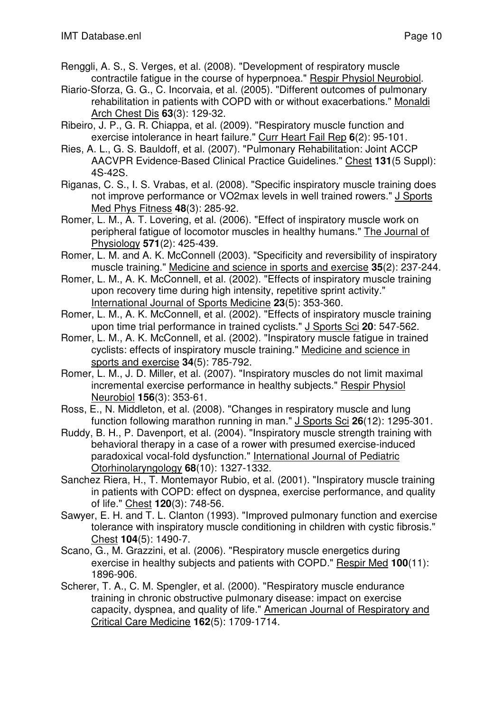- 
- Renggli, A. S., S. Verges, et al. (2008). "Development of respiratory muscle contractile fatigue in the course of hyperpnoea." Respir Physiol Neurobiol.
- Riario-Sforza, G. G., C. Incorvaia, et al. (2005). "Different outcomes of pulmonary rehabilitation in patients with COPD with or without exacerbations." Monaldi Arch Chest Dis **63**(3): 129-32.
- Ribeiro, J. P., G. R. Chiappa, et al. (2009). "Respiratory muscle function and exercise intolerance in heart failure." Curr Heart Fail Rep **6**(2): 95-101.
- Ries, A. L., G. S. Bauldoff, et al. (2007). "Pulmonary Rehabilitation: Joint ACCP AACVPR Evidence-Based Clinical Practice Guidelines." Chest **131**(5 Suppl): 4S-42S.
- Riganas, C. S., I. S. Vrabas, et al. (2008). "Specific inspiratory muscle training does not improve performance or VO2max levels in well trained rowers." J Sports Med Phys Fitness **48**(3): 285-92.
- Romer, L. M., A. T. Lovering, et al. (2006). "Effect of inspiratory muscle work on peripheral fatigue of locomotor muscles in healthy humans." The Journal of Physiology **571**(2): 425-439.
- Romer, L. M. and A. K. McConnell (2003). "Specificity and reversibility of inspiratory muscle training." Medicine and science in sports and exercise **35**(2): 237-244.
- Romer, L. M., A. K. McConnell, et al. (2002). "Effects of inspiratory muscle training upon recovery time during high intensity, repetitive sprint activity." International Journal of Sports Medicine **23**(5): 353-360.
- Romer, L. M., A. K. McConnell, et al. (2002). "Effects of inspiratory muscle training upon time trial performance in trained cyclists." J Sports Sci **20**: 547-562.
- Romer, L. M., A. K. McConnell, et al. (2002). "Inspiratory muscle fatigue in trained cyclists: effects of inspiratory muscle training." Medicine and science in sports and exercise **34**(5): 785-792.
- Romer, L. M., J. D. Miller, et al. (2007). "Inspiratory muscles do not limit maximal incremental exercise performance in healthy subjects." Respir Physiol Neurobiol **156**(3): 353-61.
- Ross, E., N. Middleton, et al. (2008). "Changes in respiratory muscle and lung function following marathon running in man." J Sports Sci **26**(12): 1295-301.
- Ruddy, B. H., P. Davenport, et al. (2004). "Inspiratory muscle strength training with behavioral therapy in a case of a rower with presumed exercise-induced paradoxical vocal-fold dysfunction." International Journal of Pediatric Otorhinolaryngology **68**(10): 1327-1332.
- Sanchez Riera, H., T. Montemayor Rubio, et al. (2001). "Inspiratory muscle training in patients with COPD: effect on dyspnea, exercise performance, and quality of life." Chest **120**(3): 748-56.
- Sawyer, E. H. and T. L. Clanton (1993). "Improved pulmonary function and exercise tolerance with inspiratory muscle conditioning in children with cystic fibrosis." Chest **104**(5): 1490-7.
- Scano, G., M. Grazzini, et al. (2006). "Respiratory muscle energetics during exercise in healthy subjects and patients with COPD." Respir Med **100**(11): 1896-906.
- Scherer, T. A., C. M. Spengler, et al. (2000). "Respiratory muscle endurance training in chronic obstructive pulmonary disease: impact on exercise capacity, dyspnea, and quality of life." American Journal of Respiratory and Critical Care Medicine **162**(5): 1709-1714.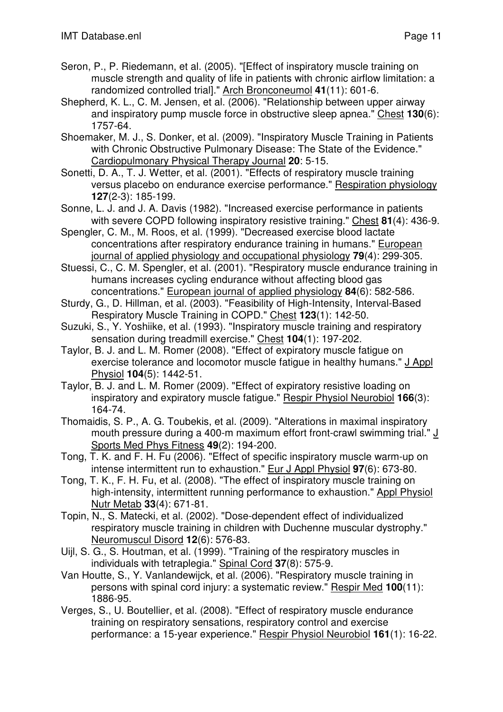- Seron, P., P. Riedemann, et al. (2005). "[Effect of inspiratory muscle training on muscle strength and quality of life in patients with chronic airflow limitation: a randomized controlled trial]." Arch Bronconeumol **41**(11): 601-6.
- Shepherd, K. L., C. M. Jensen, et al. (2006). "Relationship between upper airway and inspiratory pump muscle force in obstructive sleep apnea." Chest **130**(6): 1757-64.
- Shoemaker, M. J., S. Donker, et al. (2009). "Inspiratory Muscle Training in Patients with Chronic Obstructive Pulmonary Disease: The State of the Evidence." Cardiopulmonary Physical Therapy Journal **20**: 5-15.
- Sonetti, D. A., T. J. Wetter, et al. (2001). "Effects of respiratory muscle training versus placebo on endurance exercise performance." Respiration physiology **127**(2-3): 185-199.
- Sonne, L. J. and J. A. Davis (1982). "Increased exercise performance in patients with severe COPD following inspiratory resistive training." Chest **81**(4): 436-9.
- Spengler, C. M., M. Roos, et al. (1999). "Decreased exercise blood lactate concentrations after respiratory endurance training in humans." European journal of applied physiology and occupational physiology **79**(4): 299-305.
- Stuessi, C., C. M. Spengler, et al. (2001). "Respiratory muscle endurance training in humans increases cycling endurance without affecting blood gas concentrations." European journal of applied physiology **84**(6): 582-586.
- Sturdy, G., D. Hillman, et al. (2003). "Feasibility of High-Intensity, Interval-Based Respiratory Muscle Training in COPD." Chest **123**(1): 142-50.
- Suzuki, S., Y. Yoshiike, et al. (1993). "Inspiratory muscle training and respiratory sensation during treadmill exercise." Chest **104**(1): 197-202.
- Taylor, B. J. and L. M. Romer (2008). "Effect of expiratory muscle fatigue on exercise tolerance and locomotor muscle fatigue in healthy humans." J Appl Physiol **104**(5): 1442-51.
- Taylor, B. J. and L. M. Romer (2009). "Effect of expiratory resistive loading on inspiratory and expiratory muscle fatigue." Respir Physiol Neurobiol **166**(3): 164-74.
- Thomaidis, S. P., A. G. Toubekis, et al. (2009). "Alterations in maximal inspiratory mouth pressure during a 400-m maximum effort front-crawl swimming trial." J Sports Med Phys Fitness **49**(2): 194-200.
- Tong, T. K. and F. H. Fu (2006). "Effect of specific inspiratory muscle warm-up on intense intermittent run to exhaustion." Eur J Appl Physiol **97**(6): 673-80.
- Tong, T. K., F. H. Fu, et al. (2008). "The effect of inspiratory muscle training on high-intensity, intermittent running performance to exhaustion." Appl Physiol Nutr Metab **33**(4): 671-81.
- Topin, N., S. Matecki, et al. (2002). "Dose-dependent effect of individualized respiratory muscle training in children with Duchenne muscular dystrophy." Neuromuscul Disord **12**(6): 576-83.
- Uijl, S. G., S. Houtman, et al. (1999). "Training of the respiratory muscles in individuals with tetraplegia." Spinal Cord **37**(8): 575-9.
- Van Houtte, S., Y. Vanlandewijck, et al. (2006). "Respiratory muscle training in persons with spinal cord injury: a systematic review." Respir Med **100**(11): 1886-95.
- Verges, S., U. Boutellier, et al. (2008). "Effect of respiratory muscle endurance training on respiratory sensations, respiratory control and exercise performance: a 15-year experience." Respir Physiol Neurobiol **161**(1): 16-22.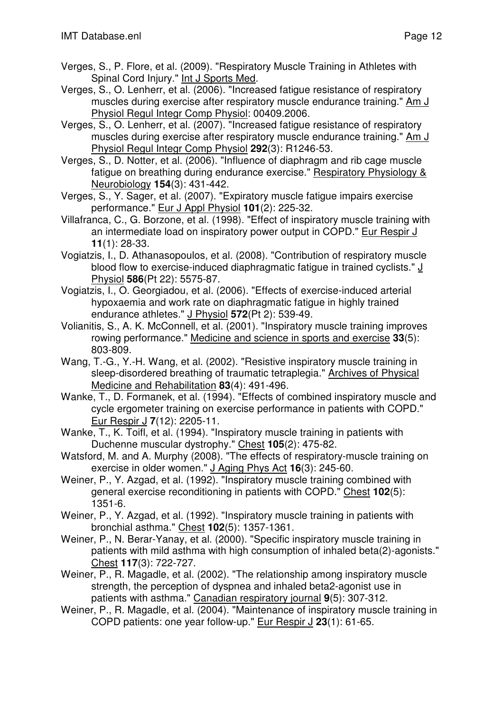- Verges, S., P. Flore, et al. (2009). "Respiratory Muscle Training in Athletes with Spinal Cord Injury." Int J Sports Med.
- Verges, S., O. Lenherr, et al. (2006). "Increased fatigue resistance of respiratory muscles during exercise after respiratory muscle endurance training." Am J Physiol Regul Integr Comp Physiol: 00409.2006.
- Verges, S., O. Lenherr, et al. (2007). "Increased fatigue resistance of respiratory muscles during exercise after respiratory muscle endurance training." Am J Physiol Regul Integr Comp Physiol **292**(3): R1246-53.
- Verges, S., D. Notter, et al. (2006). "Influence of diaphragm and rib cage muscle fatigue on breathing during endurance exercise." Respiratory Physiology & Neurobiology **154**(3): 431-442.
- Verges, S., Y. Sager, et al. (2007). "Expiratory muscle fatigue impairs exercise performance." Eur J Appl Physiol **101**(2): 225-32.
- Villafranca, C., G. Borzone, et al. (1998). "Effect of inspiratory muscle training with an intermediate load on inspiratory power output in COPD." Eur Respir J **11**(1): 28-33.
- Vogiatzis, I., D. Athanasopoulos, et al. (2008). "Contribution of respiratory muscle blood flow to exercise-induced diaphragmatic fatigue in trained cyclists." J Physiol **586**(Pt 22): 5575-87.
- Vogiatzis, I., O. Georgiadou, et al. (2006). "Effects of exercise-induced arterial hypoxaemia and work rate on diaphragmatic fatigue in highly trained endurance athletes." J Physiol **572**(Pt 2): 539-49.
- Volianitis, S., A. K. McConnell, et al. (2001). "Inspiratory muscle training improves rowing performance." Medicine and science in sports and exercise **33**(5): 803-809.
- Wang, T.-G., Y.-H. Wang, et al. (2002). "Resistive inspiratory muscle training in sleep-disordered breathing of traumatic tetraplegia." Archives of Physical Medicine and Rehabilitation **83**(4): 491-496.
- Wanke, T., D. Formanek, et al. (1994). "Effects of combined inspiratory muscle and cycle ergometer training on exercise performance in patients with COPD." Eur Respir J **7**(12): 2205-11.
- Wanke, T., K. Toifl, et al. (1994). "Inspiratory muscle training in patients with Duchenne muscular dystrophy." Chest **105**(2): 475-82.
- Watsford, M. and A. Murphy (2008). "The effects of respiratory-muscle training on exercise in older women." J Aging Phys Act **16**(3): 245-60.
- Weiner, P., Y. Azgad, et al. (1992). "Inspiratory muscle training combined with general exercise reconditioning in patients with COPD." Chest **102**(5): 1351-6.
- Weiner, P., Y. Azgad, et al. (1992). "Inspiratory muscle training in patients with bronchial asthma." Chest **102**(5): 1357-1361.
- Weiner, P., N. Berar-Yanay, et al. (2000). "Specific inspiratory muscle training in patients with mild asthma with high consumption of inhaled beta(2)-agonists." Chest **117**(3): 722-727.
- Weiner, P., R. Magadle, et al. (2002). "The relationship among inspiratory muscle strength, the perception of dyspnea and inhaled beta2-agonist use in patients with asthma." Canadian respiratory journal **9**(5): 307-312.
- Weiner, P., R. Magadle, et al. (2004). "Maintenance of inspiratory muscle training in COPD patients: one year follow-up." Eur Respir J **23**(1): 61-65.